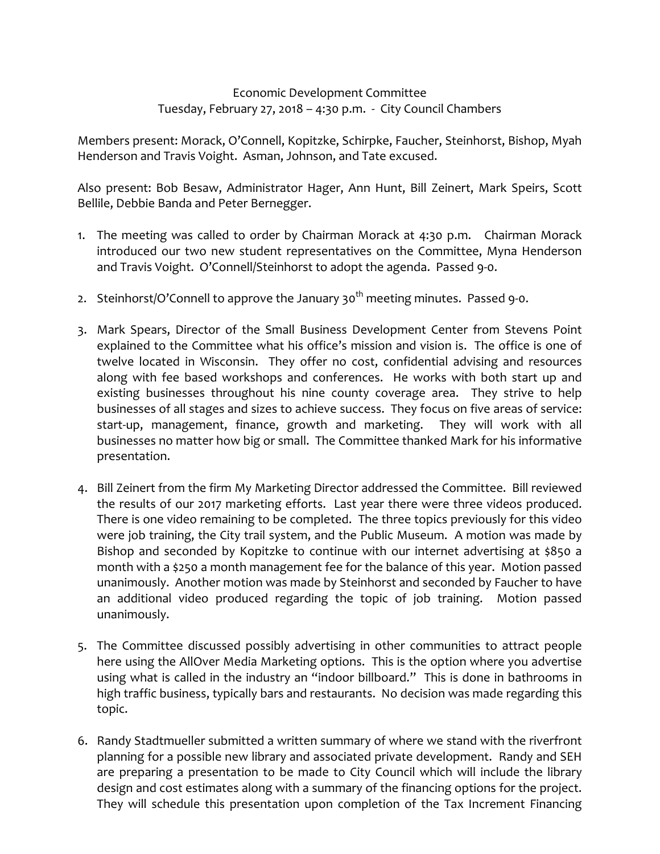## Economic Development Committee Tuesday, February 27, 2018 – 4:30 p.m. ‐ City Council Chambers

Members present: Morack, O'Connell, Kopitzke, Schirpke, Faucher, Steinhorst, Bishop, Myah Henderson and Travis Voight. Asman, Johnson, and Tate excused.

Also present: Bob Besaw, Administrator Hager, Ann Hunt, Bill Zeinert, Mark Speirs, Scott Bellile, Debbie Banda and Peter Bernegger.

- 1. The meeting was called to order by Chairman Morack at 4:30 p.m. Chairman Morack introduced our two new student representatives on the Committee, Myna Henderson and Travis Voight. O'Connell/Steinhorst to adopt the agenda. Passed 9‐0.
- 2. Steinhorst/O'Connell to approve the January 30<sup>th</sup> meeting minutes. Passed 9-0.
- 3. Mark Spears, Director of the Small Business Development Center from Stevens Point explained to the Committee what his office's mission and vision is. The office is one of twelve located in Wisconsin. They offer no cost, confidential advising and resources along with fee based workshops and conferences. He works with both start up and existing businesses throughout his nine county coverage area. They strive to help businesses of all stages and sizes to achieve success. They focus on five areas of service: start-up, management, finance, growth and marketing. They will work with all businesses no matter how big or small. The Committee thanked Mark for his informative presentation.
- 4. Bill Zeinert from the firm My Marketing Director addressed the Committee. Bill reviewed the results of our 2017 marketing efforts. Last year there were three videos produced. There is one video remaining to be completed. The three topics previously for this video were job training, the City trail system, and the Public Museum. A motion was made by Bishop and seconded by Kopitzke to continue with our internet advertising at \$850 a month with a \$250 a month management fee for the balance of this year. Motion passed unanimously. Another motion was made by Steinhorst and seconded by Faucher to have an additional video produced regarding the topic of job training. Motion passed unanimously.
- 5. The Committee discussed possibly advertising in other communities to attract people here using the AllOver Media Marketing options. This is the option where you advertise using what is called in the industry an "indoor billboard." This is done in bathrooms in high traffic business, typically bars and restaurants. No decision was made regarding this topic.
- 6. Randy Stadtmueller submitted a written summary of where we stand with the riverfront planning for a possible new library and associated private development. Randy and SEH are preparing a presentation to be made to City Council which will include the library design and cost estimates along with a summary of the financing options for the project. They will schedule this presentation upon completion of the Tax Increment Financing